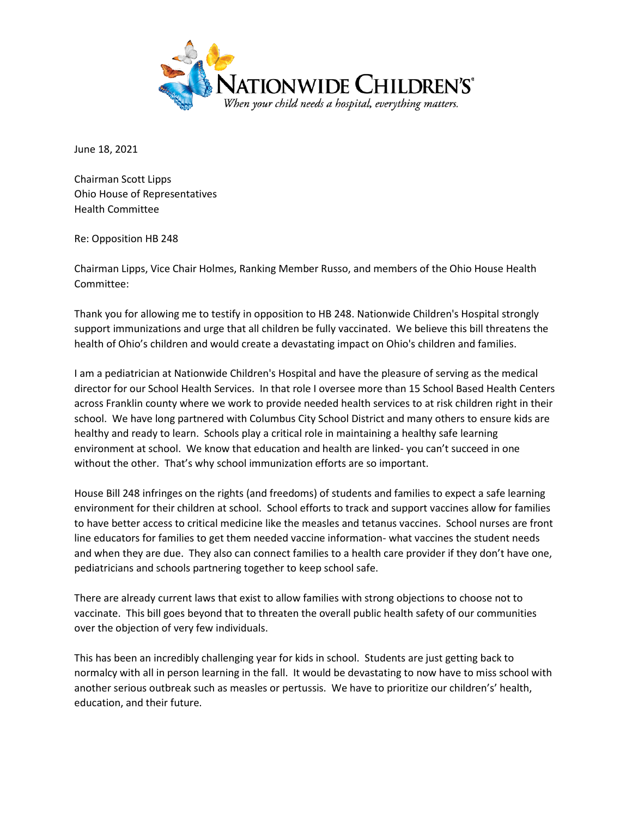

June 18, 2021

Chairman Scott Lipps Ohio House of Representatives Health Committee

Re: Opposition HB 248

Chairman Lipps, Vice Chair Holmes, Ranking Member Russo, and members of the Ohio House Health Committee:

Thank you for allowing me to testify in opposition to HB 248. Nationwide Children's Hospital strongly support immunizations and urge that all children be fully vaccinated. We believe this bill threatens the health of Ohio's children and would create a devastating impact on Ohio's children and families.

I am a pediatrician at Nationwide Children's Hospital and have the pleasure of serving as the medical director for our School Health Services. In that role I oversee more than 15 School Based Health Centers across Franklin county where we work to provide needed health services to at risk children right in their school. We have long partnered with Columbus City School District and many others to ensure kids are healthy and ready to learn. Schools play a critical role in maintaining a healthy safe learning environment at school. We know that education and health are linked- you can't succeed in one without the other. That's why school immunization efforts are so important.

House Bill 248 infringes on the rights (and freedoms) of students and families to expect a safe learning environment for their children at school. School efforts to track and support vaccines allow for families to have better access to critical medicine like the measles and tetanus vaccines. School nurses are front line educators for families to get them needed vaccine information- what vaccines the student needs and when they are due. They also can connect families to a health care provider if they don't have one, pediatricians and schools partnering together to keep school safe.

There are already current laws that exist to allow families with strong objections to choose not to vaccinate. This bill goes beyond that to threaten the overall public health safety of our communities over the objection of very few individuals.

This has been an incredibly challenging year for kids in school. Students are just getting back to normalcy with all in person learning in the fall. It would be devastating to now have to miss school with another serious outbreak such as measles or pertussis. We have to prioritize our children's' health, education, and their future.